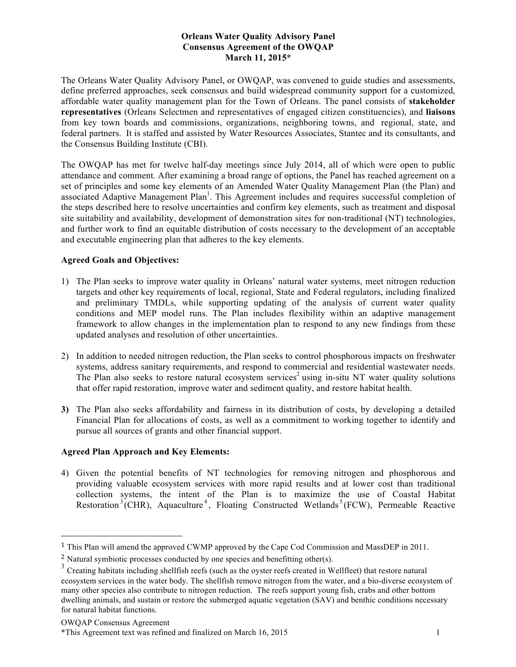## **Orleans Water Quality Advisory Panel Consensus Agreement of the OWQAP March 11, 2015\***

The Orleans Water Quality Advisory Panel, or OWQAP, was convened to guide studies and assessments, define preferred approaches, seek consensus and build widespread community support for a customized, affordable water quality management plan for the Town of Orleans. The panel consists of **stakeholder representatives** (Orleans Selectmen and representatives of engaged citizen constituencies), and **liaisons** from key town boards and commissions, organizations, neighboring towns, and regional, state, and federal partners. It is staffed and assisted by Water Resources Associates, Stantec and its consultants, and the Consensus Building Institute (CBI).

The OWQAP has met for twelve half-day meetings since July 2014, all of which were open to public attendance and comment. After examining a broad range of options, the Panel has reached agreement on a set of principles and some key elements of an Amended Water Quality Management Plan (the Plan) and associated Adaptive Management Plan<sup>1</sup>. This Agreement includes and requires successful completion of the steps described here to resolve uncertainties and confirm key elements, such as treatment and disposal site suitability and availability, development of demonstration sites for non-traditional (NT) technologies, and further work to find an equitable distribution of costs necessary to the development of an acceptable and executable engineering plan that adheres to the key elements.

## **Agreed Goals and Objectives:**

- 1) The Plan seeks to improve water quality in Orleans' natural water systems, meet nitrogen reduction targets and other key requirements of local, regional, State and Federal regulators, including finalized and preliminary TMDLs, while supporting updating of the analysis of current water quality conditions and MEP model runs. The Plan includes flexibility within an adaptive management framework to allow changes in the implementation plan to respond to any new findings from these updated analyses and resolution of other uncertainties.
- 2) In addition to needed nitrogen reduction, the Plan seeks to control phosphorous impacts on freshwater systems, address sanitary requirements, and respond to commercial and residential wastewater needs. The Plan also seeks to restore natural ecosystem services<sup>2</sup> using in-situ NT water quality solutions that offer rapid restoration, improve water and sediment quality, and restore habitat health.
- **3)** The Plan also seeks affordability and fairness in its distribution of costs, by developing a detailed Financial Plan for allocations of costs, as well as a commitment to working together to identify and pursue all sources of grants and other financial support.

# **Agreed Plan Approach and Key Elements:**

4) Given the potential benefits of NT technologies for removing nitrogen and phosphorous and providing valuable ecosystem services with more rapid results and at lower cost than traditional collection systems, the intent of the Plan is to maximize the use of Coastal Habitat Restoration<sup>3</sup> (CHR), Aquaculture<sup>4</sup>, Floating Constructed Wetlands<sup>5</sup> (FCW), Permeable Reactive

 

<sup>1</sup> This Plan will amend the approved CWMP approved by the Cape Cod Commission and MassDEP in 2011.

<sup>&</sup>lt;sup>2</sup> Natural symbiotic processes conducted by one species and benefitting other(s).

<sup>&</sup>lt;sup>3</sup> Creating habitats including shellfish reefs (such as the oyster reefs created in Wellfleet) that restore natural ecosystem services in the water body. The shellfish remove nitrogen from the water, and a bio-diverse ecosystem of many other species also contribute to nitrogen reduction. The reefs support young fish, crabs and other bottom dwelling animals, and sustain or restore the submerged aquatic vegetation (SAV) and benthic conditions necessary for natural habitat functions.

OWQAP Consensus Agreement

<sup>\*</sup>This Agreement text was refined and finalized on March 16, 2015 1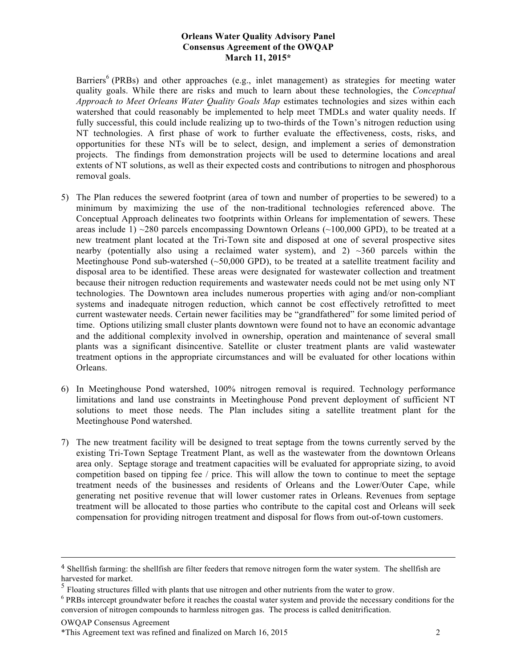#### **Orleans Water Quality Advisory Panel Consensus Agreement of the OWQAP March 11, 2015\***

Barriers<sup>6</sup> (PRBs) and other approaches (e.g., inlet management) as strategies for meeting water quality goals. While there are risks and much to learn about these technologies, the *Conceptual Approach to Meet Orleans Water Quality Goals Map* estimates technologies and sizes within each watershed that could reasonably be implemented to help meet TMDLs and water quality needs. If fully successful, this could include realizing up to two-thirds of the Town's nitrogen reduction using NT technologies. A first phase of work to further evaluate the effectiveness, costs, risks, and opportunities for these NTs will be to select, design, and implement a series of demonstration projects. The findings from demonstration projects will be used to determine locations and areal extents of NT solutions, as well as their expected costs and contributions to nitrogen and phosphorous removal goals.

- 5) The Plan reduces the sewered footprint (area of town and number of properties to be sewered) to a minimum by maximizing the use of the non-traditional technologies referenced above. The Conceptual Approach delineates two footprints within Orleans for implementation of sewers. These areas include 1)  $\sim$ 280 parcels encompassing Downtown Orleans ( $\sim$ 100,000 GPD), to be treated at a new treatment plant located at the Tri-Town site and disposed at one of several prospective sites nearby (potentially also using a reclaimed water system), and 2)  $\sim$ 360 parcels within the Meetinghouse Pond sub-watershed  $(\sim 50,000$  GPD), to be treated at a satellite treatment facility and disposal area to be identified. These areas were designated for wastewater collection and treatment because their nitrogen reduction requirements and wastewater needs could not be met using only NT technologies. The Downtown area includes numerous properties with aging and/or non-compliant systems and inadequate nitrogen reduction, which cannot be cost effectively retrofitted to meet current wastewater needs. Certain newer facilities may be "grandfathered" for some limited period of time. Options utilizing small cluster plants downtown were found not to have an economic advantage and the additional complexity involved in ownership, operation and maintenance of several small plants was a significant disincentive. Satellite or cluster treatment plants are valid wastewater treatment options in the appropriate circumstances and will be evaluated for other locations within Orleans.
- 6) In Meetinghouse Pond watershed, 100% nitrogen removal is required. Technology performance limitations and land use constraints in Meetinghouse Pond prevent deployment of sufficient NT solutions to meet those needs. The Plan includes siting a satellite treatment plant for the Meetinghouse Pond watershed.
- 7) The new treatment facility will be designed to treat septage from the towns currently served by the existing Tri-Town Septage Treatment Plant, as well as the wastewater from the downtown Orleans area only. Septage storage and treatment capacities will be evaluated for appropriate sizing, to avoid competition based on tipping fee / price. This will allow the town to continue to meet the septage treatment needs of the businesses and residents of Orleans and the Lower/Outer Cape, while generating net positive revenue that will lower customer rates in Orleans. Revenues from septage treatment will be allocated to those parties who contribute to the capital cost and Orleans will seek compensation for providing nitrogen treatment and disposal for flows from out-of-town customers.

<u> 1989 - Andrea Santa Andrea Santa Andrea Santa Andrea Santa Andrea Santa Andrea Santa Andrea Santa Andrea San</u>

```
OWQAP Consensus Agreement
```
<sup>4</sup> Shellfish farming: the shellfish are filter feeders that remove nitrogen form the water system. The shellfish are harvested for market.

<sup>&</sup>lt;sup>5</sup> Floating structures filled with plants that use nitrogen and other nutrients from the water to grow.

<sup>&</sup>lt;sup>6</sup> PRBs intercept groundwater before it reaches the coastal water system and provide the necessary conditions for the conversion of nitrogen compounds to harmless nitrogen gas. The process is called denitrification.

<sup>\*</sup>This Agreement text was refined and finalized on March 16, 2015 2